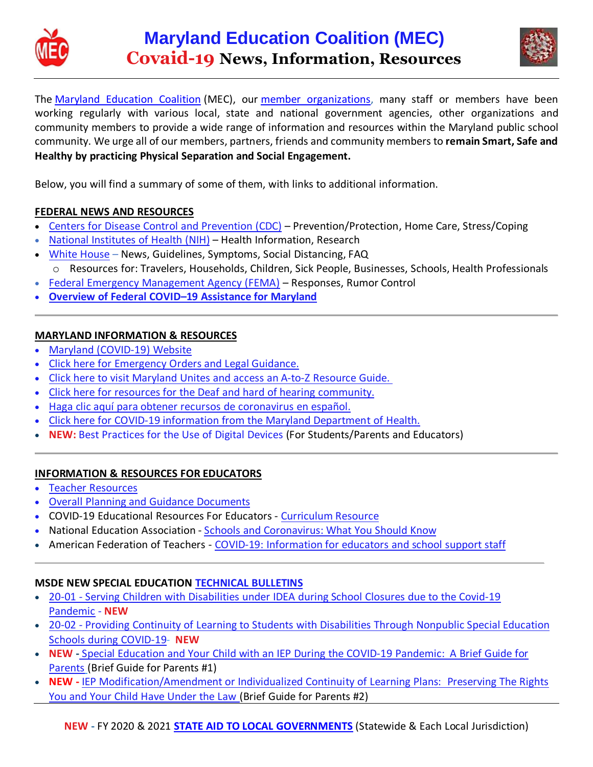



The Maryland [Education](https://www.marylandeducationcoalition.org/) Coalition (MEC), our member [organizations,](https://www.marylandeducationcoalition.org/mec-members-) many staff or members have been working regularly with various local, state and national government agencies, other organizations and community members to provide a wide range of information and resources within the Maryland public school community. We urge all of our members, partners, friends and community members to **remain Smart, Safe and Healthy by practicing Physical Separation and Social Engagement.**

Below, you will find a summary of some of them, with links to additional information.

### **FEDERAL NEWS AND RESOURCES**

- Centers for Disease Control and [Prevention](https://www.cdc.gov/) (CDC) Prevention/Protection, Home Care, Stress/Coping
- National [Institutes](https://www.nih.gov/) of Health (NIH) Health Information, Research
- White [House](https://www.whitehouse.gov/) News, Guidelines, Symptoms, Social Distancing, FAQ o Resources for: Travelers, Households, Children, Sick People, Businesses, Schools, Health Professionals
- Federal Emergency [Management](https://www.fema.gov/Coronavirus-Rumor-Control) Agency (FEMA) Responses, Rumor Control
- **Overview of Federal COVID–19 Assistance for Maryland**

## **MARYLAND INFORMATION & RESOURCES**

- Maryland [\(COVID-19\)](https://coronavirus.maryland.gov/) Website
- Click here for [Emergency](https://governor.maryland.gov/covid-19-pandemic-orders-and-guidance/) Orders and Legal Guidance.
- Click here to visit [Maryland](http://governor.maryland.gov/marylandunites) Unites and access an A-to-Z Resource Guide.
- Click here for resources for the Deaf and hard of hearing [community.](http://odhh.maryland.gov/coronavirus)
- Haga clic aquí para obtener recursos de [coronavirus](https://governor.maryland.gov/coronavirus-espanol/) en español.
- Click here for COVID-19 information from the Maryland [Department](https://coronavirus.maryland.gov/) of Health.
- **NEW:** Best [Practices](http://marylandpublicschools.org/programs/Pages/ITSLM/index.aspx) for the Use of Digital Devices (For Students/Parents and Educators)

### **INFORMATION & RESOURCES FOR EDUCATORS**

- Teacher [Resources](http://www.marylandpublicschools.org/programs/Documents/ITSLM/TeacherResources.pdf)
- Overall Planning and Guidance [Documents](http://marylandpublicschools.org/newsroom/Pages/COVID-19/OPGD.aspx)
- COVID-19 Educational Resources For Educators [Curriculum](https://msde.blackboard.com/webapps/portal/execute/tabs/tabAction?tab_tab_group_id=_104_1) Resource
- National Education Association Schools and [Coronavirus:](http://neatoday.org/2020/01/06/schools-and-coronavirus/?_ga=2.144992951.200390452.1587094212-855871032.1587094212) What You Should Know
- American Federation of Teachers COVID-19: [Information](https://www.aft.org/coronavirus/educators) for educators and school support staff

### **MSDE NEW SPECIAL EDUCATION [TECHNICAL](http://marylandpublicschools.org/programs/Pages/Special-Education/TAB.aspx) BULLETINS**

- 20-01 Serving Children with [Disabilities](http://marylandpublicschools.org/programs/Documents/Special-Ed/TAB/20-01-ServingchildrenunderCOVID-19Pandemic.pdf) under IDEA during School Closures due to the Covid-19 [Pandemic](http://marylandpublicschools.org/programs/Documents/Special-Ed/TAB/20-01-ServingchildrenunderCOVID-19Pandemic.pdf) - **NEW**
- 20-02 Providing Continuity of Learning to Students with [Disabilities](http://marylandpublicschools.org/programs/Documents/Special-Ed/TAB/20-02-ProvidingContinuityLearningStudentsNonpublicCOVID-19.pdf) Through Nonpublic Special Education Schools during [COVID-19-](http://marylandpublicschools.org/programs/Documents/Special-Ed/TAB/20-02-ProvidingContinuityLearningStudentsNonpublicCOVID-19.pdf) **NEW**
- **NEW -** Special Education and Your Child with an IEP During the COVID-19 [Pandemic: A](https://0d5d2987-2e92-4a3c-acf4-1a466f35b61d.usrfiles.com/ugd/0d5d29_0d46b0a4a3d749c3a1c9de8764c1c7e0.pdf) Brief Guide for [Parents](https://0d5d2987-2e92-4a3c-acf4-1a466f35b61d.usrfiles.com/ugd/0d5d29_0d46b0a4a3d749c3a1c9de8764c1c7e0.pdf) (Brief Guide for Parents #1)
- **NEW -** IEP Modification/Amendment or Individualized Continuity of Learning Plans: Preserving The Rights You and Your Child Have Under the Law (Brief Guide for Parents #2)